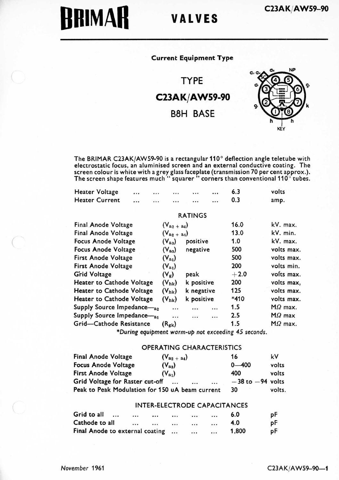# **BRIMAR** VALVES

## Current Equipment Type

TYPE C23AK/AW59-90 B8H BASE



The BRIMAR C23AK(AW59-90 is a rectangular 110° deflection angle teletube with electrostatic focus, an aluminised screen and an external conductive coating. The<br>screen colour is white with a grey glass faceplate (transmission 70 per cent approx.).<br>The screen shape features much '' squarer '' corners

| <b>Heater Voltage</b> | $\cdots$ | <br>$\cdots$ | $\cdots$ | $\cdots$ | 6.3 | volts |
|-----------------------|----------|--------------|----------|----------|-----|-------|
| Heater Current        |          |              |          |          | 0.3 | amp.  |
|                       |          |              |          |          |     |       |

#### RATINGS

| Final Anode Voltage        | $(V_{a_2 + a_4})$ |            | 16.0    | kV. max.       |
|----------------------------|-------------------|------------|---------|----------------|
| <b>Final Anode Voltage</b> | $(V_{a_2 + a_4})$ |            | 13.0    | kV. min.       |
| Focus Anode Voltage        | $(V_{aa})$        | positive   | 1.0     | kV. max.       |
| Focus Anode Voltage        | $(V_{aa})$        | negative   | 500     | volts max.     |
| <b>First Anode Voltage</b> | $(V_{a_1})$       |            | 500     | volts max.     |
| <b>First Anode Voltage</b> | $(V_{a_1})$       |            | 200     | volts min.     |
| <b>Grid Voltage</b>        | $(V_g)$           | peak       | $+2.0$  | volts max.     |
| Heater to Cathode Voltage  | $(V_{nk})$        | k positive | 200     | volts max.     |
| Heater to Cathode Voltage  | $(V_{hk})$        | k negative | 125     | volts max.     |
| Heater to Cathode Voltage  | $(V_{hk})$        | k positive | $*410$  | volts max.     |
| Supply Source Impedance-a2 |                   |            | <br>1.5 | $M\Omega$ max. |
| Supply Source Impedance-a1 |                   |            | <br>2.5 | $M\Omega$ max  |
| Grid-Cathode Resistance    | $(R_{\rm gk})$    |            | 1.5     | $M\Omega$ max. |
|                            |                   |            |         |                |

\*During equipment warm-up not exceeding 45 seconds.

### OPERATING CHARACTERISTICS

| <b>Final Anode Voltage</b>                      | $(V_{a_2 + a_4})$        | 16                   | k٧     |
|-------------------------------------------------|--------------------------|----------------------|--------|
| <b>Focus Anode Voltage</b>                      | $(V_{aa})$               | $0 - 400$            | volts  |
| <b>First Anode Voltage</b>                      | $(V_{a_1})$              | 400                  | volts  |
| Grid Voltage for Raster cut-off                 | $\cdots$<br>$\cdots$<br> | $-38$ to $-94$ volts |        |
| Peak to Peak Modulation for 150 uA beam current |                          | 30                   | volts. |

#### INTER-ELECTRODE CAPACITANCES

| Grid to all                     | $\cdots$ | <br> | <br>     | $\cdots$ | 6.0   | рF |
|---------------------------------|----------|------|----------|----------|-------|----|
| Cathode to all                  |          | <br> | <br>     | $\cdots$ | 4.0   | рF |
| Final Anode to external coating |          |      | $\cdots$ | $\cdots$ | 1,800 | рF |